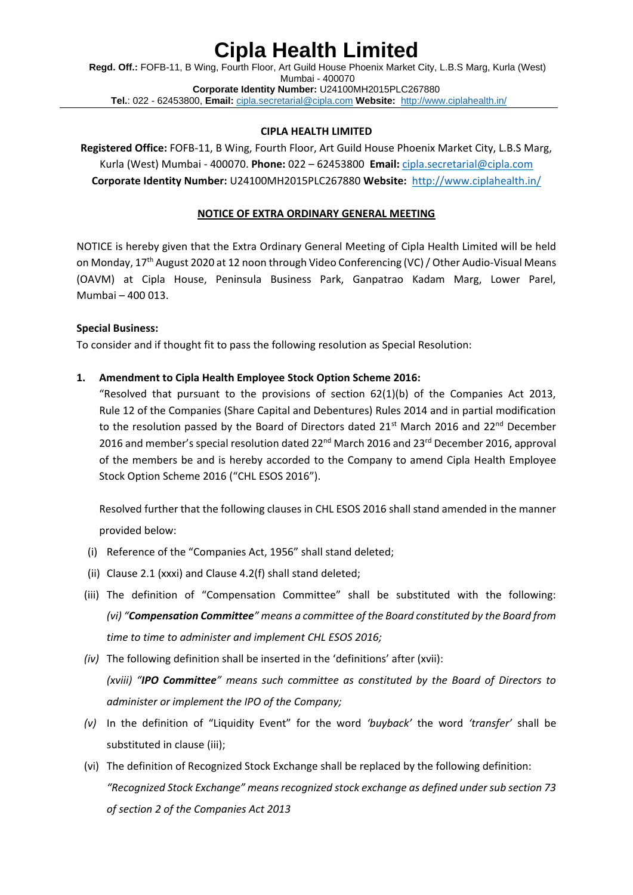**Regd. Off.:** FOFB-11, B Wing, Fourth Floor, Art Guild House Phoenix Market City, L.B.S Marg, Kurla (West) Mumbai - 400070 **Corporate Identity Number:** U24100MH2015PLC267880 **Tel.**: 022 - 62453800, **Email:** [cipla.secretarial@cipla.com](mailto:cipla.secretarial@cipla.com) **Website:** <http://www.ciplahealth.in/>

#### **CIPLA HEALTH LIMITED**

**Registered Office:** FOFB-11, B Wing, Fourth Floor, Art Guild House Phoenix Market City, L.B.S Marg, Kurla (West) Mumbai - 400070. **Phone:** 022 – 62453800 **Email:** [cipla.secretarial@cipla.com](mailto:cipla.secretarial@cipla.com) **Corporate Identity Number:** U24100MH2015PLC267880 **Website:** <http://www.ciplahealth.in/>

#### **NOTICE OF EXTRA ORDINARY GENERAL MEETING**

NOTICE is hereby given that the Extra Ordinary General Meeting of Cipla Health Limited will be held on Monday, 17<sup>th</sup> August 2020 at 12 noon through Video Conferencing (VC) / Other Audio-Visual Means (OAVM) at Cipla House, Peninsula Business Park, Ganpatrao Kadam Marg, Lower Parel, Mumbai – 400 013.

#### **Special Business:**

To consider and if thought fit to pass the following resolution as Special Resolution:

#### **1. Amendment to Cipla Health Employee Stock Option Scheme 2016:**

"Resolved that pursuant to the provisions of section  $62(1)(b)$  of the Companies Act 2013, Rule 12 of the Companies (Share Capital and Debentures) Rules 2014 and in partial modification to the resolution passed by the Board of Directors dated  $21^{st}$  March 2016 and 22<sup>nd</sup> December 2016 and member's special resolution dated 22<sup>nd</sup> March 2016 and 23<sup>rd</sup> December 2016, approval of the members be and is hereby accorded to the Company to amend Cipla Health Employee Stock Option Scheme 2016 ("CHL ESOS 2016").

Resolved further that the following clauses in CHL ESOS 2016 shall stand amended in the manner provided below:

- (i) Reference of the "Companies Act, 1956" shall stand deleted;
- (ii) Clause 2.1 (xxxi) and Clause 4.2(f) shall stand deleted;
- (iii) The definition of "Compensation Committee" shall be substituted with the following: *(vi) "Compensation Committee" means a committee of the Board constituted by the Board from time to time to administer and implement CHL ESOS 2016;*
- *(iv)* The following definition shall be inserted in the 'definitions' after (xvii): *(xviii) "IPO Committee" means such committee as constituted by the Board of Directors to administer or implement the IPO of the Company;*
- *(v)* In the definition of "Liquidity Event" for the word *'buyback'* the word *'transfer'* shall be substituted in clause (iii);
- (vi) The definition of Recognized Stock Exchange shall be replaced by the following definition: *"Recognized Stock Exchange" means recognized stock exchange as defined under sub section 73 of section 2 of the Companies Act 2013*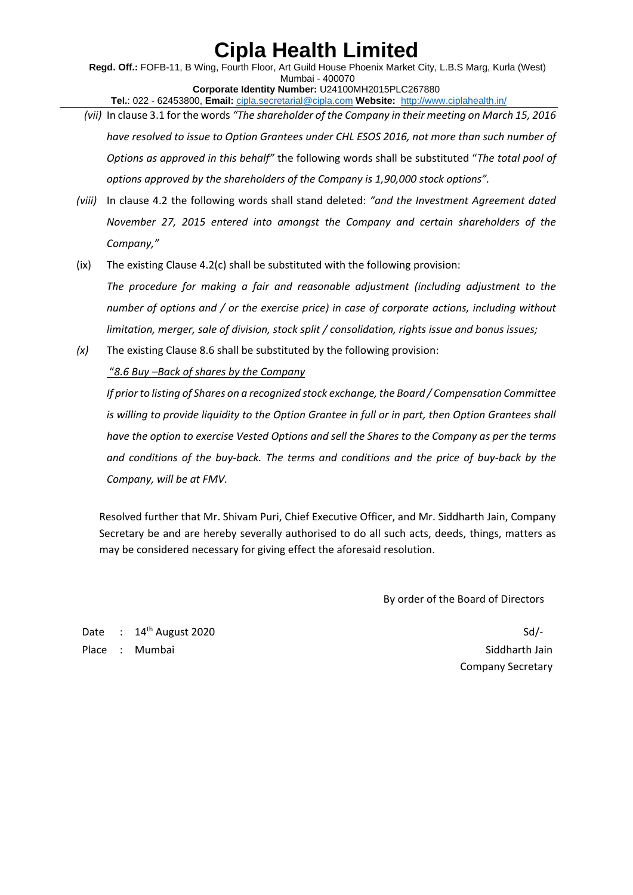**Regd. Off.:** FOFB-11, B Wing, Fourth Floor, Art Guild House Phoenix Market City, L.B.S Marg, Kurla (West) Mumbai - 400070 **Corporate Identity Number:** U24100MH2015PLC267880 **Tel.**: 022 - 62453800, **Email:** [cipla.secretarial@cipla.com](mailto:cipla.secretarial@cipla.com) **Website:** <http://www.ciplahealth.in/>

- *(vii)* In clause 3.1 for the words *"The shareholder of the Company in their meeting on March 15, 2016 have resolved to issue to Option Grantees under CHL ESOS 2016, not more than such number of Options as approved in this behalf"* the following words shall be substituted "*The total pool of options approved by the shareholders of the Company is 1,90,000 stock options".*
- *(viii)* In clause 4.2 the following words shall stand deleted: *"and the Investment Agreement dated November 27, 2015 entered into amongst the Company and certain shareholders of the Company,"*
- (ix) The existing Clause 4.2(c) shall be substituted with the following provision:

*The procedure for making a fair and reasonable adjustment (including adjustment to the number of options and / or the exercise price) in case of corporate actions, including without limitation, merger, sale of division, stock split / consolidation, rights issue and bonus issues;*

*(x)* The existing Clause 8.6 shall be substituted by the following provision:

### "*8.6 Buy –Back of shares by the Company*

*If prior to listing of Shares on a recognized stock exchange, the Board / Compensation Committee is willing to provide liquidity to the Option Grantee in full or in part, then Option Grantees shall have the option to exercise Vested Options and sell the Shares to the Company as per the terms and conditions of the buy-back. The terms and conditions and the price of buy-back by the Company, will be at FMV.*

Resolved further that Mr. Shivam Puri, Chief Executive Officer, and Mr. Siddharth Jain, Company Secretary be and are hereby severally authorised to do all such acts, deeds, things, matters as may be considered necessary for giving effect the aforesaid resolution.

By order of the Board of Directors

Date :  $14^{\text{th}}$  August 2020 Place : Mumbai Siddharth Jain Siddharth Jain Siddharth Jain Siddharth Jain Siddharth Jain Siddharth Jain Siddharth Jain

Company Secretary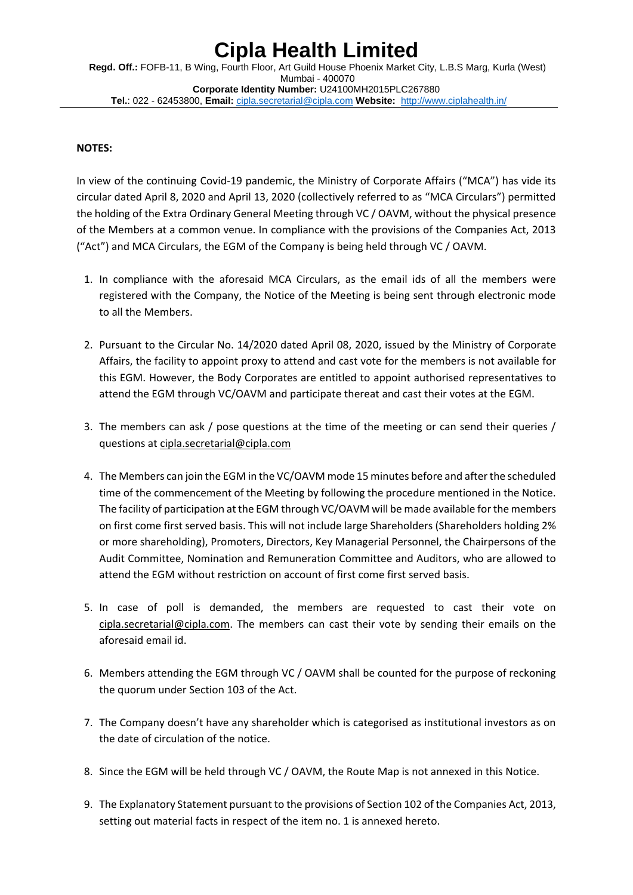**Regd. Off.:** FOFB-11, B Wing, Fourth Floor, Art Guild House Phoenix Market City, L.B.S Marg, Kurla (West) Mumbai - 400070 **Corporate Identity Number:** U24100MH2015PLC267880 **Tel.**: 022 - 62453800, **Email:** [cipla.secretarial@cipla.com](mailto:cipla.secretarial@cipla.com) **Website:** <http://www.ciplahealth.in/>

### **NOTES:**

In view of the continuing Covid-19 pandemic, the Ministry of Corporate Affairs ("MCA") has vide its circular dated April 8, 2020 and April 13, 2020 (collectively referred to as "MCA Circulars") permitted the holding of the Extra Ordinary General Meeting through VC / OAVM, without the physical presence of the Members at a common venue. In compliance with the provisions of the Companies Act, 2013 ("Act") and MCA Circulars, the EGM of the Company is being held through VC / OAVM.

- 1. In compliance with the aforesaid MCA Circulars, as the email ids of all the members were registered with the Company, the Notice of the Meeting is being sent through electronic mode to all the Members.
- 2. Pursuant to the Circular No. 14/2020 dated April 08, 2020, issued by the Ministry of Corporate Affairs, the facility to appoint proxy to attend and cast vote for the members is not available for this EGM. However, the Body Corporates are entitled to appoint authorised representatives to attend the EGM through VC/OAVM and participate thereat and cast their votes at the EGM.
- 3. The members can ask / pose questions at the time of the meeting or can send their queries / questions a[t cipla.secretarial@cipla.com](mailto:cipla.secretarial@cipla.com)
- 4. The Members can join the EGM in the VC/OAVM mode 15 minutes before and after the scheduled time of the commencement of the Meeting by following the procedure mentioned in the Notice. The facility of participation at the EGM through VC/OAVM will be made available for the members on first come first served basis. This will not include large Shareholders (Shareholders holding 2% or more shareholding), Promoters, Directors, Key Managerial Personnel, the Chairpersons of the Audit Committee, Nomination and Remuneration Committee and Auditors, who are allowed to attend the EGM without restriction on account of first come first served basis.
- 5. In case of poll is demanded, the members are requested to cast their vote on [cipla.secretarial@cipla.com.](mailto:cipla.secretarial@cipla.com) The members can cast their vote by sending their emails on the aforesaid email id.
- 6. Members attending the EGM through VC / OAVM shall be counted for the purpose of reckoning the quorum under Section 103 of the Act.
- 7. The Company doesn't have any shareholder which is categorised as institutional investors as on the date of circulation of the notice.
- 8. Since the EGM will be held through VC / OAVM, the Route Map is not annexed in this Notice.
- 9. The Explanatory Statement pursuant to the provisions of Section 102 of the Companies Act, 2013, setting out material facts in respect of the item no. 1 is annexed hereto.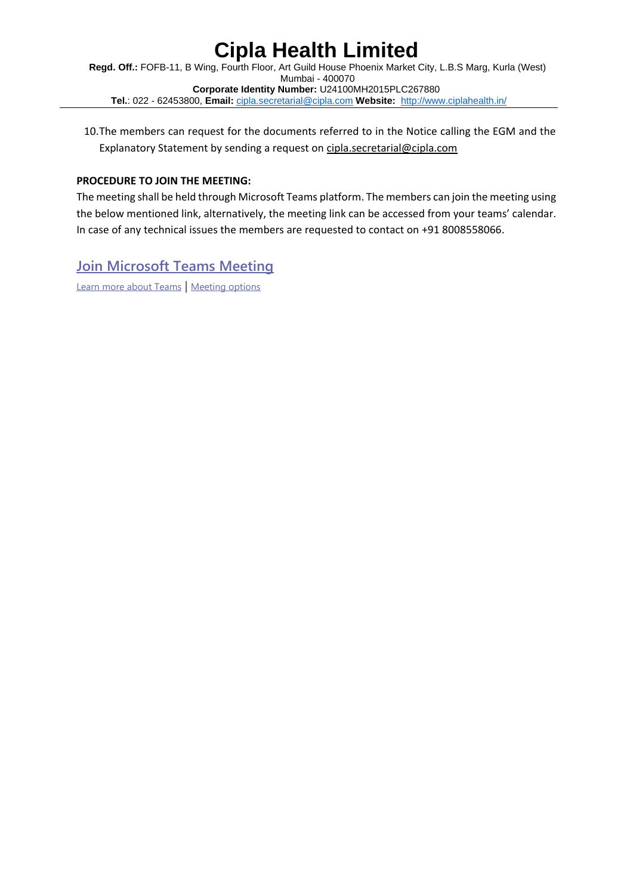**Regd. Off.:** FOFB-11, B Wing, Fourth Floor, Art Guild House Phoenix Market City, L.B.S Marg, Kurla (West) Mumbai - 400070 **Corporate Identity Number:** U24100MH2015PLC267880 **Tel.**: 022 - 62453800, **Email:** [cipla.secretarial@cipla.com](mailto:cipla.secretarial@cipla.com) **Website:** <http://www.ciplahealth.in/>

10.The members can request for the documents referred to in the Notice calling the EGM and the Explanatory Statement by sending a request on [cipla.secretarial@cipla.com](mailto:cipla.secretarial@cipla.com)

### **PROCEDURE TO JOIN THE MEETING:**

The meeting shall be held through Microsoft Teams platform. The members can join the meeting using the below mentioned link, alternatively, the meeting link can be accessed from your teams' calendar. In case of any technical issues the members are requested to contact on +91 8008558066.

### **[Join Microsoft Teams Meeting](https://apc01.safelinks.protection.outlook.com/ap/t-59584e83/?url=https%3A%2F%2Fteams.microsoft.com%2Fl%2Fmeetup-join%2F19%253ameeting_MDg5NTJlMTAtMWQ0Zi00ZWY2LTk1NWYtNjM3ZWNlOWMzOTI2%2540thread.v2%2F0%3Fcontext%3D%257b%2522Tid%2522%253a%2522e6fd9f9f-6c49-4254-b8e8-90fba073cceb%2522%252c%2522Oid%2522%253a%252260fc69ed-4189-4fae-b291-8f7b933e326b%2522%257d&data=02%7C01%7CJuzerYusuf.Masta%40Cipla.com%7C9372eb5865074696d9a008d84063285d%7Ce6fd9f9f6c494254b8e890fba073cceb%7C0%7C0%7C637330141917120462&sdata=1F87t89%2FoRwuf%2BV7DD6dhgTamTd30r0uVvoFtV0Yc1s%3D&reserved=0)**

[Learn more about Teams](https://apc01.safelinks.protection.outlook.com/?url=https%3A%2F%2Faka.ms%2FJoinTeamsMeeting&data=02%7C01%7CJuzerYusuf.Masta%40Cipla.com%7C9372eb5865074696d9a008d84063285d%7Ce6fd9f9f6c494254b8e890fba073cceb%7C0%7C0%7C637330141917120462&sdata=M0idTmpmryuyznyyzGrkCfcKklh%2BJqu05eOBQ2diXiM%3D&reserved=0) | [Meeting options](https://apc01.safelinks.protection.outlook.com/?url=https%3A%2F%2Fteams.microsoft.com%2FmeetingOptions%2F%3ForganizerId%3D60fc69ed-4189-4fae-b291-8f7b933e326b%26tenantId%3De6fd9f9f-6c49-4254-b8e8-90fba073cceb%26threadId%3D19_meeting_MDg5NTJlMTAtMWQ0Zi00ZWY2LTk1NWYtNjM3ZWNlOWMzOTI2%40thread.v2%26messageId%3D0%26language%3Den-US&data=02%7C01%7CJuzerYusuf.Masta%40Cipla.com%7C9372eb5865074696d9a008d84063285d%7Ce6fd9f9f6c494254b8e890fba073cceb%7C0%7C0%7C637330141917130460&sdata=7vYGq7Kx9KbAJIsw2g%2BB40MdbiKaswOixa0RAWQZh%2B8%3D&reserved=0)